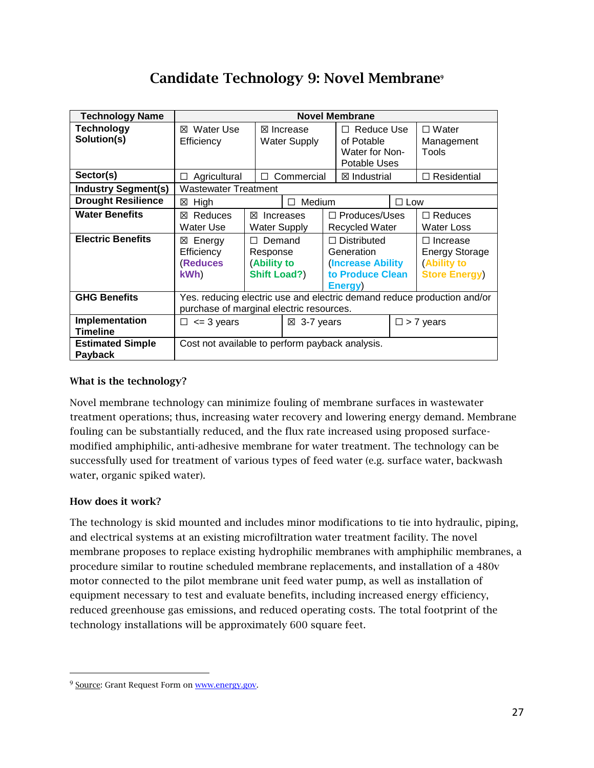# Candidate Technology 9: Novel Membrane**<sup>9</sup>**

| <b>Technology Name</b>                    | <b>Novel Membrane</b>                                                                                               |                                                                          |                                             |               |                                                                                              |                     |                                                                            |
|-------------------------------------------|---------------------------------------------------------------------------------------------------------------------|--------------------------------------------------------------------------|---------------------------------------------|---------------|----------------------------------------------------------------------------------------------|---------------------|----------------------------------------------------------------------------|
| <b>Technology</b><br>Solution(s)          | <b>⊠</b> Water Use<br>Efficiency                                                                                    |                                                                          | $\boxtimes$ Increase<br><b>Water Supply</b> |               | Reduce Use<br>П<br>of Potable<br>Water for Non-<br>Potable Uses                              |                     | $\square$ Water<br>Management<br>Tools                                     |
| Sector(s)                                 | Agricultural<br>$\Box$                                                                                              | Commercial<br>П                                                          |                                             |               | ⊠ Industrial                                                                                 |                     | $\Box$ Residential                                                         |
| <b>Industry Segment(s)</b>                | <b>Wastewater Treatment</b>                                                                                         |                                                                          |                                             |               |                                                                                              |                     |                                                                            |
| <b>Drought Resilience</b>                 | ⊠ High                                                                                                              | Medium<br>п                                                              |                                             | $\square$ Low |                                                                                              |                     |                                                                            |
| <b>Water Benefits</b>                     | Reduces<br>⊠<br>Water Use                                                                                           | ⊠                                                                        | Increases<br><b>Water Supply</b>            |               | $\Box$ Produces/Uses<br><b>Recycled Water</b>                                                |                     | $\Box$ Reduces<br><b>Water Loss</b>                                        |
| <b>Electric Benefits</b>                  | ⊠ Energy<br>Efficiency<br>(Reduces<br>kWh)                                                                          | Demand<br>$\mathbf{L}$<br>Response<br>(Ability to<br><b>Shift Load?)</b> |                                             |               | $\Box$ Distributed<br>Generation<br><b>(Increase Ability)</b><br>to Produce Clean<br>Energy) |                     | □ Increase<br><b>Energy Storage</b><br>(Ability to<br><b>Store Energy)</b> |
| <b>GHG Benefits</b>                       | Yes. reducing electric use and electric demand reduce production and/or<br>purchase of marginal electric resources. |                                                                          |                                             |               |                                                                                              |                     |                                                                            |
| Implementation<br><b>Timeline</b>         | $\Box \leq 3$ years                                                                                                 |                                                                          | $\boxtimes$ 3-7 years                       |               |                                                                                              | $\square$ > 7 years |                                                                            |
| <b>Estimated Simple</b><br><b>Payback</b> | Cost not available to perform payback analysis.                                                                     |                                                                          |                                             |               |                                                                                              |                     |                                                                            |

### What is the technology?

Novel membrane technology can minimize fouling of membrane surfaces in wastewater treatment operations; thus, increasing water recovery and lowering energy demand. Membrane fouling can be substantially reduced, and the flux rate increased using proposed surfacemodified amphiphilic, anti-adhesive membrane for water treatment. The technology can be successfully used for treatment of various types of feed water (e.g. surface water, backwash water, organic spiked water).

## How does it work?

1

The technology is skid mounted and includes minor modifications to tie into hydraulic, piping, and electrical systems at an existing microfiltration water treatment facility. The novel membrane proposes to replace existing hydrophilic membranes with amphiphilic membranes, a procedure similar to routine scheduled membrane replacements, and installation of a 480v motor connected to the pilot membrane unit feed water pump, as well as installation of equipment necessary to test and evaluate benefits, including increased energy efficiency, reduced greenhouse gas emissions, and reduced operating costs. The total footprint of the technology installations will be approximately 600 square feet.

<sup>&</sup>lt;sup>9</sup> Source: Grant Request Form on www.energy.gov.